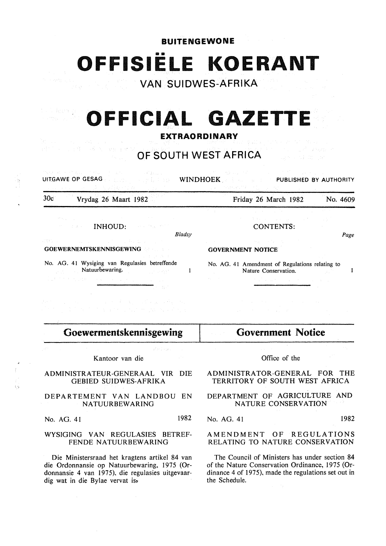**BUITENGEWONE** 

... **OFFISIELE KOERANT** 

**VAN SUIDWES-AFRIKA** 

## i deema **OFFICIAL GAZETTE**

## **EXTRAORDINARY**

#### inge groep **OF SOUTH WEST AFRICA**

 $\mathbf{1}$ 

UITGAWE OP GESAG WINDHOEK. PUBLISHED BY AUTHORITY

30c Vrydag 26 Maart 1982

Friday 26 March 1982 No. 4609

an an Salawan<br>Manazarta Manazarta

INHOUD:  $\hat{J}$  of  $\hat{J}$  . *Bladsy* 

GOEWERNEMTSKENNISGEWING

No. AG. 41 Wysiging van Regulasies betreffende Natuurbewaring.

CONTENTS:

Page

#### GOVERNMENT NOTICE

No. AG. 41 Amendment of Regulations relating to  $\mathbf{I}$ Nature Conservation.

**Goewermentskennisgewing** 

Sales Darge

Kantoor van die

#### ADMINISTRATEUR-GENERAAL VIR DIE GEBIED SUIDWES-AFRIKA

 $\left\langle \right\rangle$ 

#### DEPARTEMENT VAN LANDBOU EN NATUURBEWARING

No. AG. 41 1982

#### WYSIGING VAN REGULASIES BETREF-FENDE NATUURBEWARING

Die Ministersraad het kragtens artikel 84 van die Ordonnansie op Natuurbewaring, 1975 (Ordonnansie 4 van 1975), die regulasies uitgevaardig wat in die Bylae vervat is»

## Office of the

**Government Notice** 

#### ADMINISTRATOR-GENERAL FOR THE TERRITORY OF SOUTH WEST AFRICA

## DEPARTMENT OF AGRICULTURE AND NATURE CONSERVATION

No. AG. 41 1982

## AMENDMENT OF REGULATIONS RELATING TO NATURE CONSERVATION

The Council of Ministers has under section 84 of the Nature Conservation Ordinance, 1975 (Ordinance 4 of 1975), made the regulations set out in the Schedule.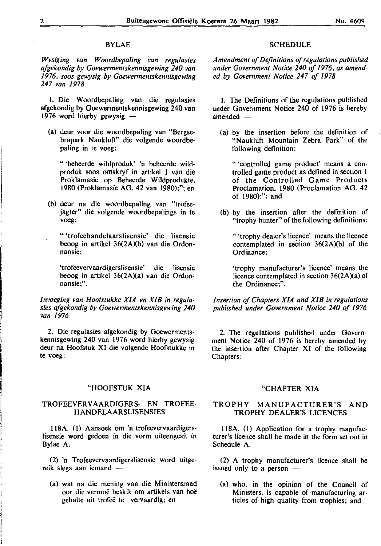## BYLAE

*Wysiging van Woordbepaling van regulasies afgekondig by Goewermentskennisgewing 240 van 1976, soos gewysig by Goewermentskennisgewing 247 van 1978* 

I. Die Woordbepaling van die regulasies afgekondig by Goewermentskennisgewing 240 van 1976 word hierby gewysig -

(a) deur voor die woordbepaling van "Bergsebrapark Naukluft" die volgende woordbepaling in te voeg:

"'beheerde wildproduk' 'n beheerde wildproduk soos omskryf in artikel I van die Proklamasie op Beheerde Wildprodukte, I9SO (Proklamasie AG. 42 van 19SO);"; en

(b) deur na die woordbepaling van "trofeejagter" die volgende woordbepalings in te voeg:

"'trofeehandelaarslisensie' die lisensie beoog in artikel  $36(2A)(b)$  van die Ordonnansie:

'trofeevervaardigerslisensie' die lisensie beoog in artikel 36(2A)(a) van die Ordon**nansie;".** 

*Invoeging van Hoofstukke X/A en XIB in regulasies afgekondig by Goewermentskennisgewing 240 van /976* 

2. Die regulasies afgekondig by Goewermentskennisgewing 240 van 1976 word hierby gewysig deur na Hoofstuk XI die volgende Hoofstukke in te voeg:

#### "HOOFSTUK XJA

## TROFEEVERV AARDIGERS- EN TROFEE-HANDELAARSLISENSIES

118A. (1) Aansoek om 'n trofeevervaardigerslisensie word gedoen in die vorm uiteengesit in Bylae A.

(2) 'n Trofeevervaardigerslisensie word uitgereik slegs aan iemand  $-$ 

(a) wat na die mening van die Ministersraad oor die vermoe beskik om artikels van hoe gehalte uit trofeë te vervaardig; en

#### **SCHEDULE**

*Amendment of Definitions of regulations published under Government Notice 240 of 1976, as amended by Government Notice 247 of 1978* 

I. The Definitions of the regulations published . under Government Notice 240 of 1976 is hereby amended

(a) by the insertion before the definition of "Naukluft Mountain Zebra Park" of the following definition:

" 'controlled game product' means a controlled game product as defined in section I of the Controlled Game Products Proclamation, 19SO (Proclamation AG. 42 of 19SO):": and

(b) by the insertion after the definition of "trophy hunter" of the following definitions:

"'trophy dealer's licence' means the licence contemplated in section  $36(2A)(b)$  of the Ordinance:

'trophy manufacturer's licence' means the licence contemplated in section  $36(2A)(a)$  of the Ordinance;".

*Insertion of Chapters X/A and XIB in regulations published under Government Notice 240 of 1976* 

2. The regulations published under Government Notice 240 of 1976 is hereby amended by the insertion after Chapter XI of the following Chapters:

#### "CHAPTER XIA

#### TROPHY MANUFACTURER'S AND TROPHY DEALER'S LICENCES

118A. (1) Application for a trophy manufacturer's licence shall be made in the form set out in Schedule A.

(2) A trophy manufacturer's licence shall be issued only to a person  $-$ 

(a) who, in the opinion of the Council of Ministers. is capable of manufacturing articles of high quality from trophies; and

**I** 

i<br>India<br>India

I~

li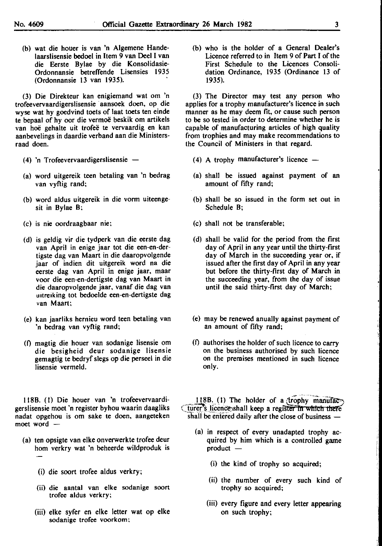raad doen.

(b) wat die houer is van 'n Algemene Hande· laarslisensie bedoel in Item 9 van Deel I van die Eerste Bylae by die Konsolidasie-Ordonnansie betreffende Lisensies 1935

(3) Die Direkteur kan enigiemand wat om 'n trofeevervaardigerslisensie · aansoek doen, op die wyse wat hy goedvind toets of laat toets ten einde te bepaal of hy oor die vermoë beskik om artikels van hoë gehalte uit trofeë te vervaardig en kan aanbevelings in daardie verband aan die Ministers-

(4) 'n Trofeevervaardigerslisensie

(Ordonnansie 13 van 1935).

- (a) word uitgereik teen betaling van 'n bedrag van vyfiig rand;
- (b) word aldus uitgereik in die vorm uiteengesit in Bylae B;
- (c) is nie oordraagbaar nie;
- (d) is geldig vir die tydperk van die eerste dag van April in enige jaar tot die een-en-dertigste dag van Maart in die daaropvolgende jaar of indien dit uitgereik word na die eerste dag van April in enige jaar, maar voor die een-en-dertigste dag van Maart in die daaropvolgende jaar, vanaf die dag van uitreiking tot bedoelde een-en-dertigste dag van Maart;
- (e) kan jaarliks hernieu word teen betaling van 'n bedrag van vyftig rand;
- (I) magtig die houer van sodanige lisensie om die besigheid deur sodanige lisensie gemagtig te bedryf slegs op die perseel in die lisensie vermeld.

1188. (I) Die houer van 'n trofeevervaardigerslisensie moet 'n register byhou waarin daagliks nadat opgehou is om sake te doen, aangeteken moet word  $-$ 

- (a) ten opsigte van elke onverwerkte trofee deur hom verkry wat 'n beheerde wildproduk is
	- (i) die soort trofee aldus verkry;
	- (ii) die aantal van elke sodanige soort trofee aldus verkry;
	- (iii) elke syfer en elke letter wat op elke sodanige trofee voorkom;

(b) who is the holder of a General Dealer's Licence referred to in Item 9 of Part I of the First Schedule to the Licences Consolidation Ordinance, 1935 (Ordinance 13 of 1935).

(3) The Director may test any person who applies for a trophy manufacturer's licence in such manner as he may deem fit, or cause such person to be so tested in order to determine whether he is capable of manufacturing articles of high quality from trophies and may make recommendations to the Council of Ministers in that regard.

- (4) A trophy manufacturer's licence  $-$
- (a) shall be issued against payment of an amount of fifty rand;
- (b) shall be so issued in the form set out in Schedule B;
- (c) shall not be transferable;
- (d) shall be valid for the period from the first day of April in any year until the thirty-frrst day of March in the succeeding year or, if issued after the first day of April in any year but before the thirty-first day of March in the succeeding year, from the day of issue until ihe said thirty-first day of March;
- (e) may be renewed anually against payment of an amount of fifty rand;
- $(f)$  authorises the holder of such licence to carry on the business authorised by such licence on the premises mentioned in such licence only.

 $118B$ . (1) The holder of a *trophy manufac*-<br>turer's licence shall keep a register in which there shall be entered daily after the close of business -

- (a) in respect of every unadapted trophy acquired by him which is a controlled game  $product -$ 
	- (i) the kind of trophy so acquired;
	- (ii) the number of every such kind of trophy so acquired;
	- (iii) every figure and every letter appearing on such trophy;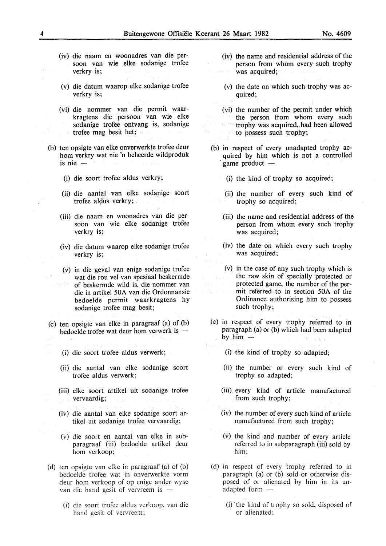- (iv) die naam en woonadres van die persoon van wie elke sodanige trofee verkry is;
- (v) die datum waarop elke sodanige trofee verkry is;
- (vi) die nommer van die permit waarkragtens die persoon van wie elke sodanige trofee ontvang is, sodanige trofee mag besit het;
- (b) ten opsigte van elke onverwerkte trofee deur hom verkry wat nie 'n beheerde. wildproduk is nie -
	- (i) die soort trofee aldus verkry;
	- (ii) die aantal van elke sodanige soort trofee aldus verkry; .
	- (iii) die naam en woonadres van die persoon van wie elke sodanige trofec verkry is:
	- (iv) die datum waarop elke sodanige trofee verkry is;
	- ( v) in die geval van enige sodanige trofee wat die rou vel van spesiaal beskermde of beskermde wild is, die nommer van die in artikel 50A van die Ordonnansie bedoelde permit waarkragtens hy sodanige trofee mag besit;
- (c) ten opsigte van elke in paragraaf (a) of (b) bedoelde trofee wat deur hom verwerk is  $-$ 
	- (i) die soort trofee aldus verwerk;
	- (ii) die aantal van elke sodanige soort trofee aldus verwerk;
	- (iii) elke soort artikel uit sodanige trofee vervaardig;
	- (iv) die aantal van elke sodanige soort artikel uit sodanige trofee vervaardig;
	- (v) die soort en aantal van elke in subparagraaf (iii) bedoelde artikel deur hom verkoop;
- (d) ten opsigte van elke in paragraaf (a) of (b) bedoelde trofee wat in onverwerkte vorm deur hom verkoop of op enige ander wyse van die hand gesit of vervreem is  $-$ 
	- (i) die soort trofee aldus verkoop, van die hand gesit of vervrecm;
- (iv) the name and residential address of the person from whom every such trophy was acquired;
- (v) the date on which such trophy was acquired;
- (vi) the number of the permit under which the person from whom every such trophy was acquired,, had been allowed to possess such trophy;
- (b) in respect of every unadapted trophy acquired by him which is not a controlled game product -
	- (i) the kind of trophy so acquired;
		- (ii) the number of every such kind of trophy so acquired;
		- (iii) the name and residential address of the person from whom every such trophy was acquired;
		- (iv) the date on which every such trophy was acquired;
		- (v) in the case of any such trophy which is the raw skin of specially protected or protected game, the number of the permit referred to in section 50A of the Ordinance authorising him to possess such trophy;
- (c) in respect of every trophy referred to in paragraph (a) or (b) which had been adapted by  $him -$ 
	- (i) the kind of trophy so adapted;
	- (ii) the number or every such kind of trophy so adapted;
	- (iii) every kind of article manufactured from such trophy;
	- (iv) the number of every such kind of article manufactured from such trophy;
	- (v) the kind and number of every article referred to in subparagraph (iii) sold by him;
- (d) in respect of every trophy referred to in paragraph (a) or (b) sold or otherwise disposed of or alienated by him in its unadapted form  $-$ 
	- (i) the kind of trophy so sold, disposed of or alienated;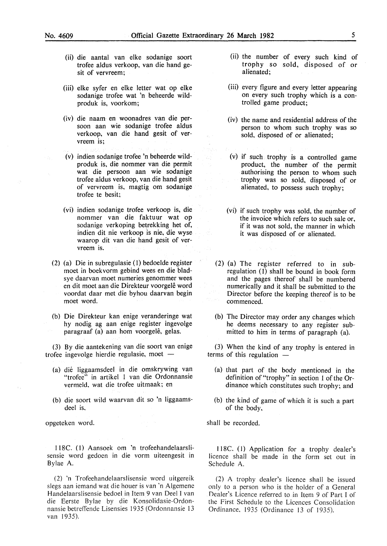- (ii) die aantal van elke sodanige soort trofee aldus verkoop, van die hand gesit of vervreem;
- (iii) elke syfer en elke letter wat op elke sodanige trofee wat 'n beheerde wildproduk is, voorkom;
- (iv) die naam en woonadres van die persoon aan wie sodanige trofee aldus verkoop, van die hand gesit of vervreem is;
- (v) indien sodanige trofee 'n beheerde wildproduk is, die nommer van die permit wat die persoon aan wie sodanige trofee aldus verkoop, van die hand gesit of vervreem is, magtig om sodanige trofee te besit;
- (vi) indien sodanige trofee verkoop is, die nommer van die faktuur wat op sodanige verkoping betrekking het of, indien dit nie verkoop is nie, die wyse waarop dit van die hand gesit of vervreem is.
- (2) (a) Die in subregulasie (1) bedoelde register moet in boekvorm gebind wees en die bladsye daarvan moet numeries genommer wees en dit moet aan die Direkteur voorgele word voordat daar met die byhou daarvan begin moet word.
- (b) Die Direkteur kan enige veranderinge wat hy nodig ag aan enige register ingevolge paragraaf (a) aan hom voorgelê, gelas.

(3) By die aantekening van die soort van enige trofee ingevolge hierdie regulasie, moet -

- (a) die liggaamsdeel in die omskrywing van "trofee" in artikel l van die Ordonnansie vermeld. wat die trofee uitmaak; en
- (b) die soort wild waarvan dit so 'n liggaamsdeel is,

opgeteken word.

l l8C. ( l) Aansoek om 'n trofeehandelaarslisensie word gedoen in die vorm uiteengesit in Bylae A.

(2) 'n Trofeehandelaarslisensie word uitgereik slegs aan iemand wat die houer is van 'n Algemene Handelaarslisensie bedoel in Item 9 van Dee! I van die Eerste Bylae by die Konsolidasie-Ordonnansie betreffende Lisensies 1935 (Ordonnansie 13 van 1935).

- (ii) the number of every such kind of trophy so sold, disposed of or alienated;
- (iii) every figure and every letter appearing on every such trophy which is a controlled game product;
- (iv) the name and residential address of the person to whom such trophy was so sold. disposed of or alienated;
- (v) if such trophy is a controlled game product, the number of the permit authorising the person to whom such trophy was so sold, disposed of or alienated, to possess such trophy;
- (vi) if such trophy was sold, the number of the invoice which refers to such sale or, if it was not sold, the manner in which it was disposed of or alienated.
- (2) (a) The register referred to in subregulation (1) shall be bound in book form and the pages thereof shall be numbered numerically and it shall be submitted to the Director before the keeping thereof is to be commenced.
- (b) The Director may order any changes which he deems necessary to any register submitted to him in terms of paragraph (a).

(3) When the kind of any trophy is entered in terms of this regulation

- (a) that part of the body mentioned in the definition of "trophy" in section 1 of the Ordinance which constitutes such trophy; and
- (b) the kind of game of which it is such a part of the body,

shall be recorded.

ll8C. ( J) Application for a trophy dealer's licence shall be made in the form set out in Schedule A.

(2) A trophy dealer's licence shall be issued only to a person who is the holder of a General Dealer's Licence referred to in Item 9 of Part I of the First Schedule to the Licences Consolidation Ordinance. 1935 (Ordinance 13 of 1935).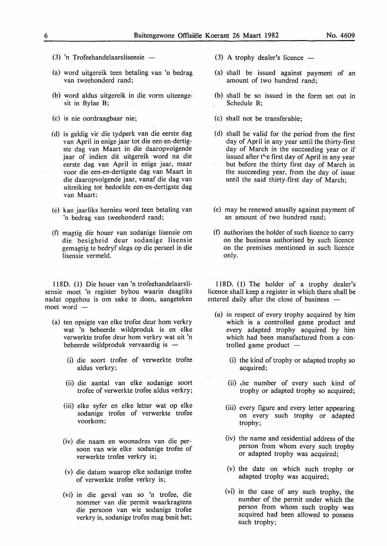- $(3)$  'n Trofeehandelaarslisensie -
- (a) word uitgereik teen betaling van 'n bedrag van tweehonderd rand;
- (b) word aldus uitgereik in die vorm uiteengesit in Bylae B;
- (c) is nie oordraagbaar nie;
- (d) is geldig vir die tydperk van die eerste dag van April in enige jaar tot die een-en-dertigste dag van Maart in die daaropvolgende jaar of indien dit uitgereik word na die eerste dag van April in enige jaar, maar voor die een-en-dertigste dag van Maart in die daaropvolgende jaar, vanaf die dag van uitreiking tot bedoelde een-en-dertigste dag van Maart;
- (e) kan jaarliks hernieu word teen betaling van 'n bedrag van tweehonderd rand;
- (f) magtig die houer van sodanige lisensie om die besigheid deur sodanige Iisensie gemagtig te bedryf slegs op die perseel in die Iisensie vermeld.

1180. (I) Die houer van 'n trofeehandelaarslisensie moet 'n register byhou waarin daagliks nadat opgehou is om sake te doen, aangeteken moet word -

- (a) ten opsigte van elke trofee deur hom verkry wat 'n beheerde wildproduk is en elke verwerkte trofee deur hom verkry wat uit 'n beheerde wildproduk vervaardig is  $-$ 
	- (i) die soort trofee of verwerkte trofee aldus verkry;
	- (ii) die aantal van elke sodanige soort trofee of verwerkte trofee aldus verkry;
	- (iii) elke syfer en elke letter wat op elke sodanige trofee of verwerkte trofee voorkom;
	- (iv) die naam en woonadres van die persoon van wie elke sodanige trofee of verwerkte trofee verkry is;
	- (v) die datum waarop elke sodanige trofee of verwerkte trofee verkry is;
	- (vi) in die geval van so 'n trofee, die nommer van die permit waarkragtens die persoon van wie sodanige trofee verkry is, sodanige trofee mag besit het;
- (3) A trophy dealer's licence
- (a) shall be issued against payment of an amount of two hundred rand;
- (b) shall be so issued in the form set out in Schedule B;
- (c) shall not be transferable;
- (d) shall be valid for the period from the first day of April in any year until the thirty-first day of March in the succeeding year or if issued after the first day of April in any year but before the thirty first day of March in the succeeding year, from the day of issue until the said thirty-first day of March;
- (e) may be renewed anually against payment of an amount of two hundred rand;
- (f) authorises the holder of such licence to carry on the business authorised by such licence on the premises mentioned in such licence only.

1180. (I) The holder of a trophy dealer's licence shall keep a register in which there shall be entered daily after the close of business -

- (a) in respect of every trophy acquired by him which is a controlled game product and every adapted trophy acquired by him which had been manufactured from a controlled game product  $-$ 
	- (i) the kind of trophy or adapted trophy so acquired;
	- (ii) lhe number of every such kind of trophy or adapted trophy so acquired;
	- (iii) every figure and every letter appearing on every such trophy or adapted trophy;
	- (iv) the name and residential address of the person from whom every such trophy or adapted trophy was acquired;
	- (v) the date on which such trophy or adapted trophy was acquired;
	- (vf) in the case of any such trophy, the number of the permit under which the person from whom such trophy was acquired had been allowed to possess such trophy;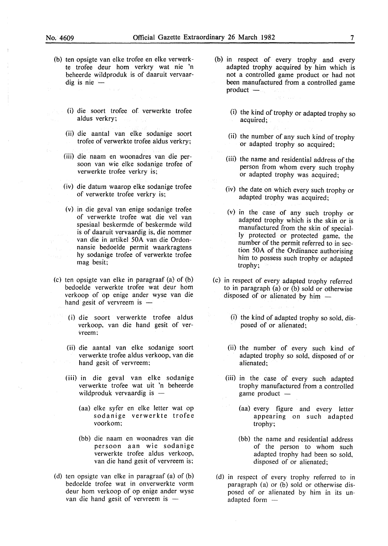- (b) ten opsigte van elke trofee en elke verwerkte trofee deur hom verkry wat nie 'n beheerde wildproduk is of daaruit vervaar $dig$  is nie  $-$ 
	- (i) die soort trofee of verwerkte trofee aldus verkry;
	- (ii) die aantal van elke sodanige soort trofee of verwerkte trofee aldus verkry;
	- (iii) die naam en woonadres van die persoon van wie elke sodanige trofee of verwerkte trofee verkry is;
	- (iv) die datum waarop elke sodanige trofee of verwerkte trofee verkry is;
	- (v) in die geval van enige sodanige trofee of verwerkte trofee wat die vel van spesiaal beskermde of beskermde wild is of daaruit vervaardig is, die nommer van die in artikel 50A van die Ordonnansie bedoelde permit waarkragtens hy sodanige trofee of verwerkte trofee mag besit;
- (c) ten opsigte van elke in paragraaf (a) of (b) bedoelde verwerkte trofee wat deur hom verkoop of op enige ander wyse van die hand gesit of vervreem is  $-$ 
	- (i) die soort verwerkte trofee aldus verkoop. van die hand gesit of vervreem;
	- (ii) die aantal van elke sodanige soort verwerkte trofee aldus verkoop, van die hand gesit of vervreem;
	- (iii) in die geval van elke sodanige verwerkte trofee wat uit 'n beheerde wildproduk vervaardig is  $-$ 
		- (aa) elke syfer en elke letter wat op sodanige verwerkte trofee voorkom;
		- (bb) die naam en woonadres van die persoon aan wie sodanige verwerkte trofee aldus verkoop, van die hand gesit of vervreem is;
- (d) ten opsigte van elke in paragraaf (a) of (b) bedoelde trofee wat in onverwerkte vorm deur hom verkoop of op enige ander wyse van die hand gesit of vervreem is  $-$
- (b) in respect of every trophy and every adapted trophy acquired by him which is not a controlled game product or had not been manufactured from a controlled game  $product$   $-$ 
	- (i) the kind of trophy or adapted trophy so acquired;
	- (ii) the number of any such kind of trophy or adapted trophy so acquired;
	- (iii) the name and residential address of the person from whom every such trophy or adapted trophy was acquired;
	- (iv) the date on which every such trophy or adapted trophy was acquired;
	- (v) in the case of any such trophy or adapted trophy which is the skin or is manufactured from the skin of specially protected or protected game, the number of the permit referred to in section 50A of the Ordinance authorising him to possess such trophy or adapted trophy;
- (c) in respect of every adapted trophy referred to in paragraph (a) or (b) sold or otherwise disposed of or alienated by him  $-$ 
	- (i) the kind of adapted trophy so sold, disposed of or alienated;
	- (ii) the number of every such kind of adapted trophy so sold, disposed of or alienated;
	- (iii) in the case of every such adapted trophy manufactured from a controlled game product  $-$ 
		- (aa) every figure and every letter appearing on such adapted trophy;
		- (bb) the name and residential address of the person to whom such adapted trophy had been so sold, disposed of or alienated;
- (d) in respect of every trophy referred to in paragraph (a) or (b) sold or otherwise disposed of or alienated by him in its unadapted form -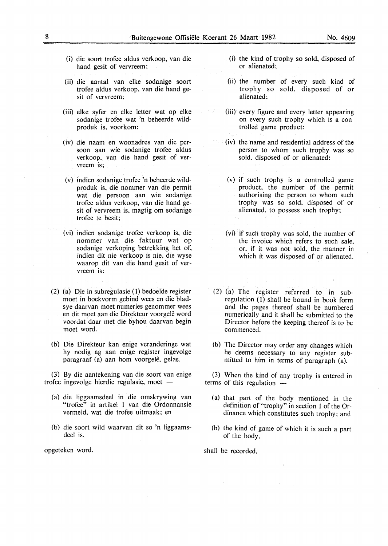- (i) die soort trofee aldus verkoop, van die hand gesit of vervreem;
- (ii) die aantal van elke sodanige soort trofee aldus verkoop, van die hand gesit of vervreem:
- (iii) elke syfer en elke letter wat op elke sodanige trofee wat 'n beheerde wildproduk is, voorkom:
- (iv) die naam en woonadres van die persoon aan wie sodanige trofee aldus verkoop, van die hand gesit of vervreem is;
- (v) indien sodanige trofee 'n beheerde wildproduk is, die nommer van die permit wat die persoon aan wie sodanige trofee aldus verkoop, van die hand gesit of vervreem is, magtig om sodanige trofee te besit;
- (vi) indien sodanige trofee verkoop is, die nommer van die faktuur wat op sodanige verkoping betrekking het of, indien dit nie verkoop is nie, die wyse waarop dit van die hand gesit of vervreem is:
- (2) (a) Die in subregulasie ( 1) bedoelde register moet in boekvorm gebind wees en die bladsye daarvan moet numeries genommer wees en dit moet aan die Direkteur voorgele word voordat daar met die byhou daarvan begin moet word.
- (b) Die Direkteur kan enige veranderinge wat hy nodig ag aan enige register ingevolge paragraaf (a) aan hom voorgelê, gelas.

(3) By die aantekening van die soort van enige trofee ingevolge hierdie regulasie, moet -

- (a) die liggaamsdeel in die omskrywing van "trofee" in artikel 1 van die Ordonnansie vermeld, wat die trofee uitmaak; en
- (b) die soort wild waarvan dit so 'n liggaamsdeel is.

opgeteken word.

- (i) the kind of trophy so sold, disposed of or alienated;
- (ii) the number of every such kind of trophy so sold, disposed of or alienated:
- (iii) every figure and every letter appearing on every such trophy which is a controlled game product;
- (iv) the name and residential address of the person to whom such trophy was so sold. disposed of or alienated;
- (v) if such trophy is a controlled game product, the number of the permit authorising the person to whom such trophy was so sold, disposed of or alienated. to possess such trophy:
- (vi) if such trophy was sold, the number of the invoice which refers to such sale, or. if it was not sold, the manner in which it was disposed of or alienated.
- (2) (a) The register referred to in subregulation (I) shall be bound in book form and the pages thereof shall be numbered numerically and it shall be submitted to the Director before the keeping thereof is to be commenced.
- (b) The Director may order any changes which he deems necessary to any register submitted to him in terms of paragraph (a).

(3) When the kind of any trophy is entered in terms of this regulation

- (a) that part of the body mentioned in the definition of "trophy" in section 1 of the Ordinance which constitutes such trophy; and
- (b) the kind of game of which it is such a part of the body,

shall be recorded.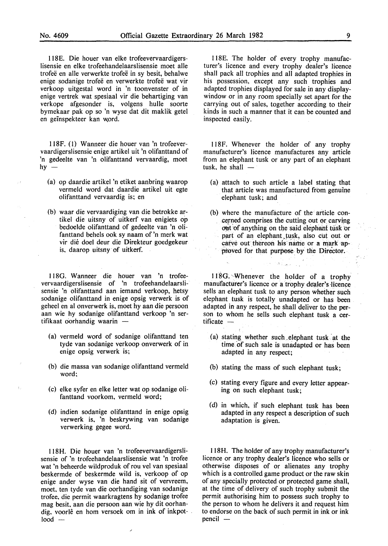118E. Die houer van elke trofeevervaardigerslisensie en elke trofeehandelaarslisensie moet aile trofee en aile verwerkte trofee in sy besit, behalwe enige sodanige trofee en verwerkte trofee wat vir verkoop uitgestal word in 'n toonvenster of in enige vertrek wat spesiaal vir die behartiging van verkope afgesonder is, volgens hulle soorte bymekaar pak op so 'n wyse dat dit maklik getel en geïnspekteer kan word.

ll8F. (I) Wanneer die houer van 'n trofeevervaardigerslisensie enige artikel uit 'n olifanttand of 'n gedeelte van 'n olifanttand vervaardig, moet hy -

- (a) op daardie artikel 'n etiket aanbring waarop vermeld word dat daardie artikel uit egte olifanttand vervaardig is; en
- (b) waar die vervaardiging van die betrokke artikel die uitsny of uitkerf van enigiets op bedoelde olifanttand of gedeelte van 'n olifanttand behels ook sy naam of 'n merk wat vir die doel deur die Direkteur goedgekeur is, daarop uitsny of uitkerf.

1180. Wanneer die houer van 'n trofeevervaardigerslisensie of 'n trofeehandelaarslisensie 'n olifanttand aan iemand verkoop, betsy sodanige olifanttand in enige opsig verwerk is of geheel en al onverwerk is, moet hy aan die persoon aan wie hy sodanige olifanttand verkoop 'n sertifikaat oorhandig waarin -

- (a) vermeld word of sodanige olifanttand ten tyde van sodanige verkoop onverwerk of in enige opsig verwerk is;
- (b) die massa van sodanige olifanttand vermeld word:
- (c) elke syfer en elke letter wat op sodanige olifanttand voorkom, vermeld word;
- (d) indien sodanige olifanttand in enige opsig verwerk is, 'n beskrywing van sodanige verwerking gegee word.

118 H. Die houer van 'n trofeevervaardigerslisensie of 'n trofeehandelaarslisensie wat 'n trofee wat 'n beheerde wildproduk of rou vel van spesiaal beskermde of beskermde wild is, verkoop of op enige ander wyse van die hand sit of vervreem, moet. ten tyde van die oorhandiging van sodanige trofee, die permit waarkragtens hy sodanige trofee mag besit. aan die persoon aan wie hy dit oorhandig. voorle en hom versoek om in ink of inkpot- .  $load -$ 

118E. The holder of every trophy manufacturer's licence and every trophy dealer's licence shall pack all trophies and all adapted trophies in his possession, except any such trophies and adapted trophies displayed for sale in any displaywindow or in any room specially set apart for the carrying out of sales, together according to their kinds in such a manner that it can be counted and inspected easily.

Il8F. Whenever the holder of any trophy manufacturer's licence manufactures any article from an elephant tusk or any part of an elephant tusk, he shall  $-$ 

- (a) attach to such article a label stating that that article was manufactured from genuine elephant tusk; and
- (b) where the manufacture of the article concerned comprises the cutting out or carving out of anything on the said elephant tusk or part of an elephant tusk, also cut out or carve out thereon his name or a mark approved for that purpose by the Director.

ا بي الموقع الميا

118G. Whenever the holder of a trophy manufacturer's licence or a trophy dealer's licence sells an elephant tusk to any person whether such elephant tusk is totally unadapted or has been adapted in any respect, he shall deliver to the person to whom he. sells such elephant tusk a cer $t$ ificate  $-$ 

- (a) stating whether such . elephant tusk at the time of such sale is unadapted or has been adapted in any respect;
- (b) stating the mass of such elephant tusk;
- (c) stating every figure and every letter appearing on such elephant tusk;
- (d) in which, if such elephant tusk has been adapted in any respect a description of such adaptation is given.

Il8H. The holder of any trophy manufacturer's licence or any trophy dealer's licence who sells or otherwise disposes of or alienates any trophy which is a controlled game product or the raw skin of any specially protected or protected game shall, at the time of delivery of such trophy submit the permit authorising him to possess such trophy to the person to whom he delivers it and request him to endorse on the back of such permit in ink or ink  $pencil -$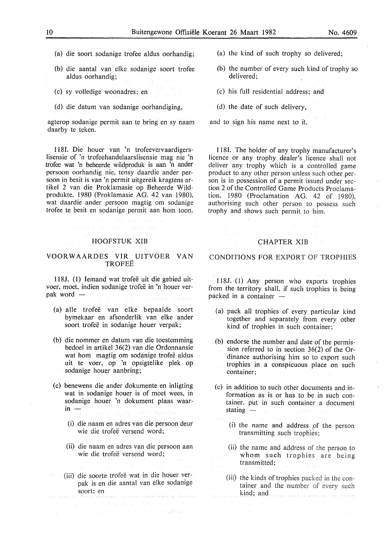- (a) die soort sodanige trofee aldus oorhandig;
- (b) die aantal van elke sodanige soort trofee aldus oorhandig;
- (c) sy volledige woonadres; en
- (d) die datum van sodanige oorhandiging,

agterop sodanige permit aan te bring en sy naam daarby te teken.

118I. Die houer van 'n trofeevervaardigerslisensie of 'n trofeehandelaarslisensie mag nie 'n trofee wat 'n beheerde wildproduk is aan 'n ander persoon oorhandig nie, tensy daardie ander persoon in besit is van 'n permit uitgereik kragtens artikel 2 van die Proklamasie op Beheerde Wildprodukte, 1980 (Proklamasie AG. 42 van 1980), wat daardie ander persoon magtig om sodanige trofee te besit en sodanige permit aan hom toon.

HOOFSTUK XIB

#### VOORWAARDES VIR UITVOER VAN **TROFEE**

118J. (1) Iemand wat trofee uit die gebied uitvoer, moet, indien sodanige trofee in 'n houer verpak word -

- (a) aile trofee van elke bepaalde soort bymekaar en afsonderlik van elke ander soort trofeë in sodanige houer verpak;
- (b) die nommer en datum van die toestemming bedoel in artikel 36(2) van die Ordonnansie wat hom magtig om sodanige trofeë aldus uit te voer, op 'n opsigtelike plek op sodanige houer aanbring;
- (c) benewens die ander dokumente en inligting wat in sodanige houer is of moet wees, in sodanige houer 'n dokument plaas waar- $\mathbf{in}$  -  $\cdots$ n si svojev – do ni fratomak
	- (i) die naam en adres van die persoon deur wie die trofeë versend word;
	- (ii) die naam en adres van die persoon aan wie die trofeë versend word;
	- (iii) die soorte trofee wat in die houer verpak is en die aantal van elke sodanige soort; en

of the parameter and construction  $\mathcal{L}_{\mathcal{L}}(\tau) \geq \mathcal{L}_{\mathcal{L}}(\tau) \geq \mathcal{L}_{\mathcal{L}}(\tau) \geq \frac{1}{2} \mathcal{L}(\tau) \geq \mathcal{L}(\tau) \geq 4.227 \mathcal{L}(\tau) \geq 1.$  (a) the kind of such trophy so delivered;

- (b) the number of every such kind of trophy so delivered;
- (c) his full residential address; and
- (d) the date of such delivery,

and to sign his name next to it.

1181. The holder of any trophy manufacturer's licence or any trophy dealer's licence shall not deliver any trophy which is a controlled game product to any other person unless such other person is in possession of a permit issued under section 2 of the Controlled Game Products Proclamation. 1980 (Proclamation AG. 42 of 1980), authorising such other person to possess such trophy and shows such permit to him.

#### CHAPTER XIB

#### CONDITIONS FOR EXPORT OF TROPHIES

I 18J. (1) Any person who exports trophies from the territory shall, if such trophies is being packed in a container  $-$ 

- (a) pack all trophies of every particular kind together and separately from every other kind of trophies in such container;
- (b) endorse the number and date of the permission referred to in section 36(2) of the Ordinance authorising him so to export such trophies in a conspicuous place on such container;
- (c) in addition to such other documents and information as is or has to be in such container, put in such container a document stating  $-$ 
	- (i) the name and address pf the person transmitting such trophies;
	- (ii) the name and address of the person to whom such trophies are being transmitted;
	- (iii) the kinds of trophies packed in the container and the number of every such kind; and where we have a serious map complete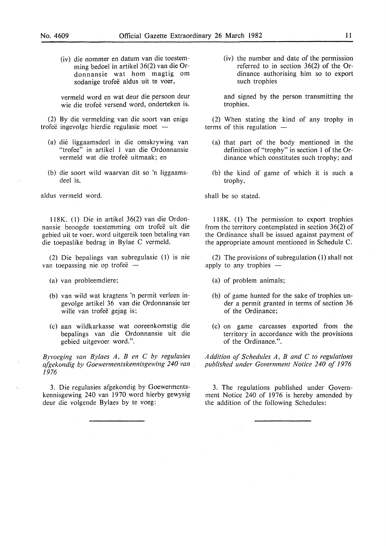(iv) die nommer en datum van die toestemming bedoel in artikel 36(2) van die Ordonnansie wat hom magtig om sodanige trofeë aldus uit te voer,

vermeld word en wat deur die persoon deur wie die trofee versend word, onderteken is.

(2) By die vermelding van die soort van enige trofeë ingevolge hierdie regulasie moet  $-$ 

- (a) die liggaamsdeel in die omskrywing van "trofee" in artikel 1 van die Ordonnansie vermeld wat die trofeë uitmaak: en
- (b) die soort wild waarvan dit so 'n liggaamsdeel is,

aldus vermeld word.

ll8K. (l) Die in artikel 36(2) van die Ordonnansie beoogde toestemming om trofee uit die gebied uit te voer, word uitgereik teen betaling van die toepaslike bedrag in Bylae C vermeld.

(2) Die bepalings van subregulasie (I) is nie van toepassing nie op trofeë -

(a) van probleemdiere;

 $\epsilon_j$ 

- (b) van wild wat kragtens 'n permit verleen ingevolge artikel 36 van die Ordonnansie ter wille van trofeë gejag is;
- (c) aan · wildkarkasse wat ooreenkomstig die bepalings van die Ordonnansie uit die gebied uitgevoer word.".

*Byvoeging van Bylaes A, B en C by regulasies afgekondig by Goewermentskennisgewing 240 van 1976* 

3. Die regulasies afgekondig by Goewermentskennisgewing 240 van 1970 word hierby gewysig deur die volgende Bylaes by te voeg:

(iv) the number and date of the permission referred to in section 36(2) of the Ordinance authorising him so to export such trophies

and signed by the person transmitting the trophies.

(2) When stating the kind of any trophy in terms of this regulation

- (a) that part of the body mentioned in the definition of "trophy" in section 1 of the Ordinance which constitutes such trophy; and
- (b) the kind of game of which it is such a trophy,

shall be so stated.

 $118K$ . (1) The permission to export trophies from the territory contemplated in section 36(2) of the Ordinance shall be issued against payment of the appropriate amount mentioned in Schedule C.

(2) The provisions of subregulation  $(1)$  shall not apply to any trophies  $-$ 

- (a) of problem animals;
- (b) of game hunted for the sake of trophies under a permit granted in terms of section 36 of the Ordinance;
- (c) on game carcasses exported from the territory in accordance with the provisions of the Ordinance.".

*Addition of Schedules A, B and C to regulations published under Government Notice 240 of 1976* 

3. The regulations published under Government Notice 240 of 1976 is hereby amended by the addition of the following Schedules: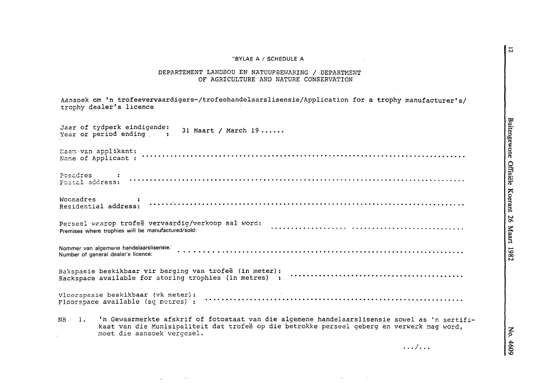#### "BYLAE A / SCHEDULE A

# DEPARTEMENT LANDBOU EN NATUUPBEWARING / DEPARTMENT<br>OF AGRICULTURE AND NATURE CONSERVATION

| Aansoek om 'n trofeevervaardigers-/trofeehandelaarslisensie/Application for a trophy manufacturer's/<br>trophy dealer's licence                                                                                                    |
|------------------------------------------------------------------------------------------------------------------------------------------------------------------------------------------------------------------------------------|
| Jaar of tydperk eindigende:<br>31 Maart / March 19<br>Year or period ending :                                                                                                                                                      |
|                                                                                                                                                                                                                                    |
|                                                                                                                                                                                                                                    |
|                                                                                                                                                                                                                                    |
| Premises where trophies will be manufactured/sold:                                                                                                                                                                                 |
| Number of general dealer's licence:                                                                                                                                                                                                |
|                                                                                                                                                                                                                                    |
|                                                                                                                                                                                                                                    |
| 1. 'n Gewaarmerkte afskrif of fotostaat van die algemene handelaarslisensie sowel as 'n sertifi-<br>NВ<br>kaat van die Munisipaliteit dat trofeë op die betrokke perseel geberg en verwerk mag word,<br>moet die aansoek vergesel. |
| $\ldots/\ldots$                                                                                                                                                                                                                    |

Buitengewone Offisiële Koerant 26 Maart 1982

 $\overline{5}$ 

No. 4609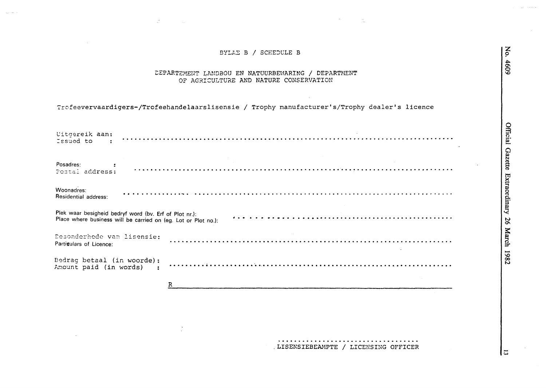#### BYLAE B / SCHEDULE B

#### DEPARTEMENT LANDBOU EN NATUURBEWARING / DEPARTMENT OF AGRICULTURE AND NATURE CONSERVATION

## Trofeevervaardigers-/Trofeehandelaarslisensie / Trophy manufacturer's/Trophy dealer's licence

 $\hat{\phantom{a}}$ 

| Uitgereik aan:<br>Issued to                                                                                              |   |
|--------------------------------------------------------------------------------------------------------------------------|---|
| Posadres:<br>Postal address:                                                                                             |   |
| Woonadres:<br>Residential address:                                                                                       |   |
| Plek waar besigheid bedryf word (bv. Erf of Plot nr.):<br>Place where business will be carried on (eg. Lot or Plot no.): |   |
| Desonderhede van lisensie:<br>Partigulars of Licence:                                                                    |   |
| Bedrag betaal (in woorde):<br>Amount paid (in words) :                                                                   |   |
|                                                                                                                          | R |
|                                                                                                                          |   |

LISENSIEBEAMPTE / LICENSING OFFICER

|ವ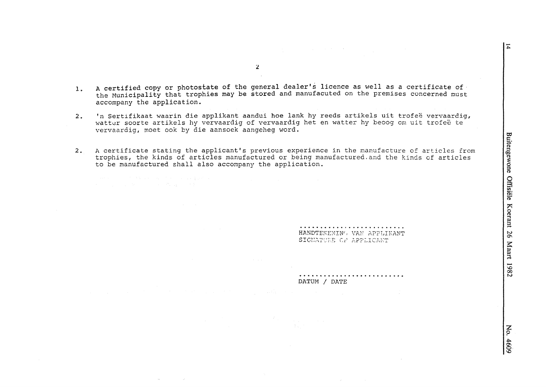$\overline{z}$ 

- A certified copy or photostate of the general dealer's licence as well as a certificate of  $\mathbf{1}$ the Municipality that trophies may be stored and manufacuted on the premises concerned must accompany the application.
- 'n Sertifikaat waarin die applikant aandui hoe lank hy reeds artikels uit trofeë vervaardig,  $2.$ watter soorte artikels hy vervaardig of vervaardig het en watter hy beoog om uit trofeë te vervaardig, moet ook by die aansoek aangeheg word.
- A certificate stating the applicant's previous experience in the manufacture of articles from  $2.$ trophies, the kinds of articles manufactured or being manufactured, and the kinds of articles to be manufactured shall also accompany the application.

and the State County of the County of State

HANDTEKENING VAN APPLIKANT SIGNATURE OF APPLICANT

DATUM / DATE

 $\mathbf{Z}$ 

No. 4609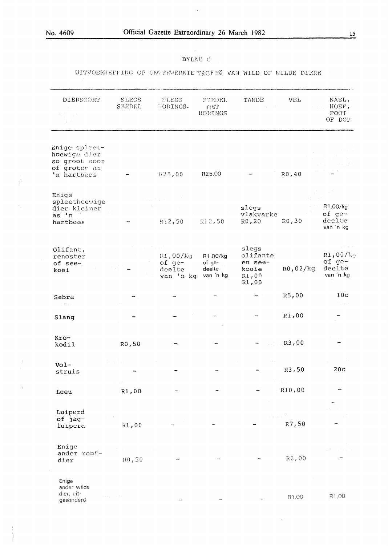$\vec{P}$ 

 $\epsilon$ 

 $\bar{\phantom{a}}$ 

 $\gamma$ 

 $\frac{1}{2}$ 

 $\ddot{\phantom{0}}$ 

## $15$

#### BYLAE C

## UITVOERHEFFING OP GNVERWERKTE TROFEË VAN WILD OF WILDE DIERE

| DIERSOORT                                                                     | <b>SLEGS</b><br>SKEDEL | SLEGS .<br>HORINGS.                       | <b>SKEDEL</b><br>MET<br>HORINGS           | TANDE                                                   | VEL                                                    | NAEL,<br>HOEF,<br>POOT.<br>OF DOP        |
|-------------------------------------------------------------------------------|------------------------|-------------------------------------------|-------------------------------------------|---------------------------------------------------------|--------------------------------------------------------|------------------------------------------|
| Enige spleet-<br>hoewige dier<br>so groot soos<br>of groter as<br>'n hartbees |                        | 1.25,00                                   | R25,00                                    |                                                         | R0,40                                                  |                                          |
| Enige<br>spleethoewige<br>dier kleiner<br>as 'n'                              |                        |                                           |                                           | slegs<br>vlakvarke                                      | R0,30                                                  | R1,00/kg<br>of ge-<br>deelte             |
| hartbees                                                                      |                        | R12,50                                    | R12,50                                    | R0,20                                                   |                                                        | van 'n kg                                |
| Olimt,<br>renoster<br>of see-<br>koei                                         |                        | R1,00/kg<br>of ge-<br>deelte<br>van 'n kg | R1,00/kg<br>of ge-<br>deelte<br>van 'n kg | slegs<br>olifante<br>en see-<br>koeie<br>R1,00<br>R1,00 | R0,02/kg                                               | R1,00/k<br>of ge-<br>deelte<br>van 'n kg |
| Sebra                                                                         |                        |                                           |                                           |                                                         | R5,00                                                  | 10 <sub>c</sub>                          |
| 计内容<br>Slang                                                                  |                        |                                           |                                           |                                                         | R1,00                                                  | Turistich                                |
| $Kro-$<br>kodil                                                               | R0,50                  |                                           |                                           |                                                         | $\sqrt{R3}$ ,00                                        |                                          |
| $Vol-$<br>struis                                                              | Personal and           |                                           |                                           |                                                         | R3,50                                                  | 20c                                      |
| Leeu                                                                          | R1,00                  |                                           |                                           |                                                         | $\mathcal{V} = \{v_1, v_2, \ldots, v_n\}$<br>$-R10,00$ |                                          |
| Luiperd<br>of jag-<br>luiperd                                                 | R1,00                  |                                           |                                           | $\mathcal{P}_{\text{c}}\subset\mathcal{P}$              | R7,50                                                  |                                          |
| Enige<br>ander roof-<br>dier                                                  | RO, 50                 |                                           |                                           |                                                         | $R2,00$                                                |                                          |
| Enige<br>ander wilde<br>dier, uit-<br>e sono<br>gesonderd                     | control of the         |                                           |                                           |                                                         | R1,00                                                  | R1,00                                    |

 $\bar{\tau}$